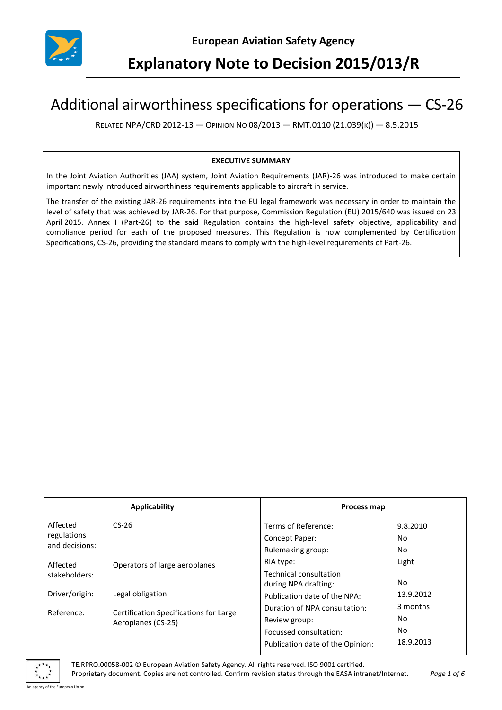

**Explanatory Note to Decision 2015/013/R**

# Additional airworthiness specifications for operations — CS-26

RELATED NPA/CRD 2012-13 — OPINION NO 08/2013 — RMT.0110 (21.039(K)) — 8.5.2015

#### **EXECUTIVE SUMMARY**

In the Joint Aviation Authorities (JAA) system, Joint Aviation Requirements (JAR)-26 was introduced to make certain important newly introduced airworthiness requirements applicable to aircraft in service.

The transfer of the existing JAR-26 requirements into the EU legal framework was necessary in order to maintain the level of safety that was achieved by JAR-26. For that purpose, Commission Regulation (EU) 2015/640 was issued on 23 April 2015. Annex I (Part-26) to the said Regulation contains the high-level safety objective, applicability and compliance period for each of the proposed measures. This Regulation is now complemented by Certification Specifications, CS-26, providing the standard means to comply with the high-level requirements of Part-26.

| Applicability                 |                                                              | Process map                                    |           |
|-------------------------------|--------------------------------------------------------------|------------------------------------------------|-----------|
| Affected                      | $CS-26$                                                      | Terms of Reference:                            | 9.8.2010  |
| regulations<br>and decisions: |                                                              | Concept Paper:                                 | No.       |
|                               |                                                              | Rulemaking group:                              | No        |
| Affected<br>stakeholders:     | Operators of large aeroplanes                                | RIA type:                                      | Light     |
|                               |                                                              | Technical consultation<br>during NPA drafting: | No        |
| Driver/origin:                | Legal obligation                                             | Publication date of the NPA:                   | 13.9.2012 |
| Reference:                    | Certification Specifications for Large<br>Aeroplanes (CS-25) | Duration of NPA consultation:                  | 3 months  |
|                               |                                                              | Review group:                                  | No.       |
|                               |                                                              | Focussed consultation:                         | No        |
|                               |                                                              | Publication date of the Opinion:               | 18.9.2013 |

TE.RPRO.00058-002 © European Aviation Safety Agency. All rights reserved. ISO 9001 certified. Proprietary document. Copies are not controlled. Confirm revision status through the EASA intranet/Internet. *Page 1 of 6*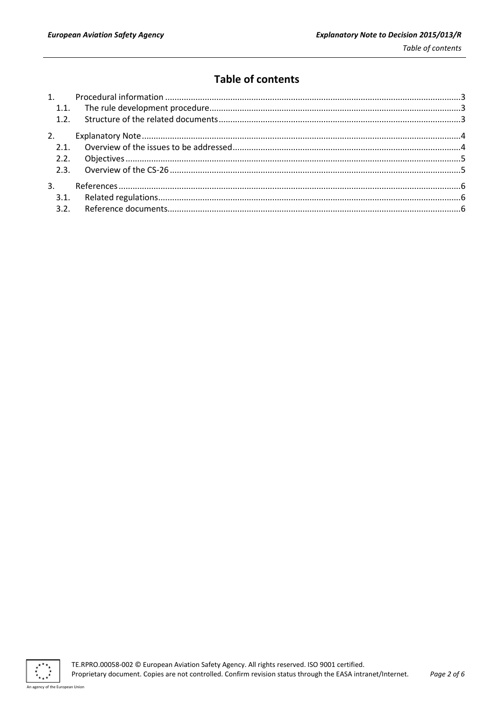## **Table of contents**

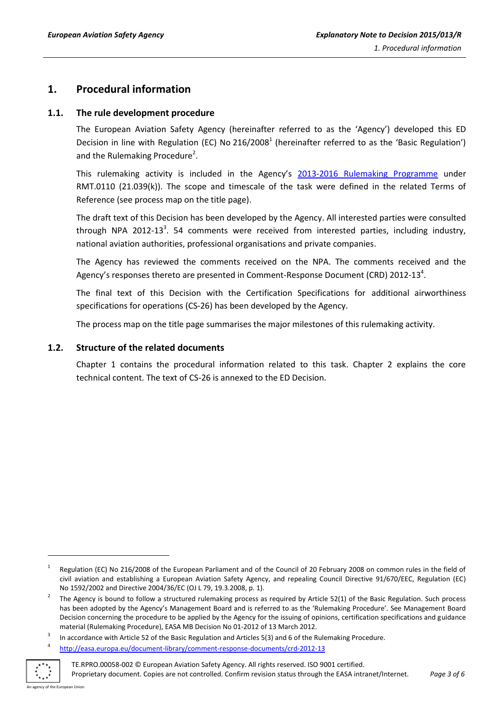## <span id="page-2-0"></span>**1. Procedural information**

#### <span id="page-2-1"></span>**1.1. The rule development procedure**

The European Aviation Safety Agency (hereinafter referred to as the 'Agency') developed this ED Decision in line with Regulation (EC) No 216/2008<sup>1</sup> (hereinafter referred to as the 'Basic Regulation') and the Rulemaking Procedure<sup>2</sup>.

This rulemaking activity is included in the Agency's [2013-2016 Rulemaking Programme](http://easa.europa.eu/document-library/rulemaking-programmes/2013-2016-rulemaking-programme) under RMT.0110 (21.039(k)). The scope and timescale of the task were defined in the related Terms of Reference (see process map on the title page).

The draft text of this Decision has been developed by the Agency. All interested parties were consulted through NPA 2012-13<sup>3</sup>. 54 comments were received from interested parties, including industry, national aviation authorities, professional organisations and private companies.

The Agency has reviewed the comments received on the NPA. The comments received and the Agency's responses thereto are presented in Comment-Response Document (CRD) 2012-13<sup>4</sup>.

The final text of this Decision with the Certification Specifications for additional airworthiness specifications for operations (CS-26) has been developed by the Agency.

The process map on the title page summarises the major milestones of this rulemaking activity.

#### <span id="page-2-2"></span>**1.2. Structure of the related documents**

Chapter 1 contains the procedural information related to this task. Chapter 2 explains the core technical content. The text of CS-26 is annexed to the ED Decision.

<http://easa.europa.eu/document-library/comment-response-documents/crd-2012-13>



3

4

-

TE.RPRO.00058-002 © European Aviation Safety Agency. All rights reserved. ISO 9001 certified. Proprietary document. Copies are not controlled. Confirm revision status through the EASA intranet/Internet. *Page 3 of 6*

<sup>1</sup> Regulation (EC) No 216/2008 of the European Parliament and of the Council of 20 February 2008 on common rules in the field of civil aviation and establishing a European Aviation Safety Agency, and repealing Council Directive 91/670/EEC, Regulation (EC) No 1592/2002 and Directive 2004/36/EC (OJ L 79, 19.3.2008, p. 1).

<sup>2</sup> The Agency is bound to follow a structured rulemaking process as required by Article 52(1) of the Basic Regulation. Such process has been adopted by the Agency's Management Board and is referred to as the 'Rulemaking Procedure'. See Management Board Decision concerning the procedure to be applied by the Agency for the issuing of opinions, certification specifications and guidance material (Rulemaking Procedure), EASA MB Decision No 01-2012 of 13 March 2012.

In accordance with Article 52 of the Basic Regulation and Articles 5(3) and 6 of the Rulemaking Procedure.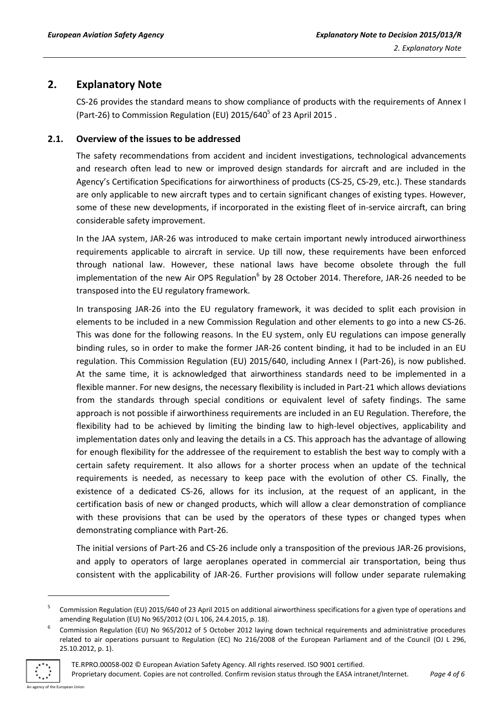### <span id="page-3-0"></span>**2. Explanatory Note**

CS-26 provides the standard means to show compliance of products with the requirements of Annex I (Part-26) to Commission Regulation (EU)  $2015/640^5$  of 23 April 2015.

#### <span id="page-3-1"></span>**2.1. Overview of the issues to be addressed**

The safety recommendations from accident and incident investigations, technological advancements and research often lead to new or improved design standards for aircraft and are included in the Agency's Certification Specifications for airworthiness of products (CS-25, CS-29, etc.). These standards are only applicable to new aircraft types and to certain significant changes of existing types. However, some of these new developments, if incorporated in the existing fleet of in-service aircraft, can bring considerable safety improvement.

In the JAA system, JAR-26 was introduced to make certain important newly introduced airworthiness requirements applicable to aircraft in service. Up till now, these requirements have been enforced through national law. However, these national laws have become obsolete through the full implementation of the new Air OPS Regulation<sup>6</sup> by 28 October 2014. Therefore, JAR-26 needed to be transposed into the EU regulatory framework.

In transposing JAR-26 into the EU regulatory framework, it was decided to split each provision in elements to be included in a new Commission Regulation and other elements to go into a new CS-26. This was done for the following reasons. In the EU system, only EU regulations can impose generally binding rules, so in order to make the former JAR-26 content binding, it had to be included in an EU regulation. This Commission Regulation (EU) 2015/640, including Annex I (Part-26), is now published. At the same time, it is acknowledged that airworthiness standards need to be implemented in a flexible manner. For new designs, the necessary flexibility is included in Part-21 which allows deviations from the standards through special conditions or equivalent level of safety findings. The same approach is not possible if airworthiness requirements are included in an EU Regulation. Therefore, the flexibility had to be achieved by limiting the binding law to high-level objectives, applicability and implementation dates only and leaving the details in a CS. This approach has the advantage of allowing for enough flexibility for the addressee of the requirement to establish the best way to comply with a certain safety requirement. It also allows for a shorter process when an update of the technical requirements is needed, as necessary to keep pace with the evolution of other CS. Finally, the existence of a dedicated CS-26, allows for its inclusion, at the request of an applicant, in the certification basis of new or changed products, which will allow a clear demonstration of compliance with these provisions that can be used by the operators of these types or changed types when demonstrating compliance with Part-26.

The initial versions of Part-26 and CS-26 include only a transposition of the previous JAR-26 provisions, and apply to operators of large aeroplanes operated in commercial air transportation, being thus consistent with the applicability of JAR-26. Further provisions will follow under separate rulemaking

<sup>6</sup> Commission Regulation (EU) No 965/2012 of 5 October 2012 laying down technical requirements and administrative procedures related to air operations pursuant to Regulation (EC) No 216/2008 of the European Parliament and of the Council (OJ L 296, 25.10.2012, p. 1).



-

<sup>5</sup> Commission Regulation (EU) 2015/640 of 23 April 2015 on additional airworthiness specifications for a given type of operations and amending Regulation (EU) No 965/2012 (OJ L 106, 24.4.2015, p. 18).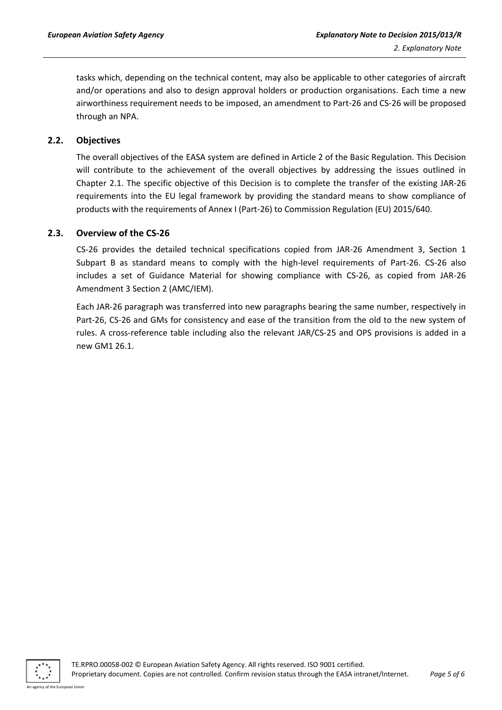tasks which, depending on the technical content, may also be applicable to other categories of aircraft and/or operations and also to design approval holders or production organisations. Each time a new airworthiness requirement needs to be imposed, an amendment to Part-26 and CS-26 will be proposed through an NPA.

#### <span id="page-4-0"></span>**2.2. Objectives**

The overall objectives of the EASA system are defined in Article 2 of the Basic Regulation. This Decision will contribute to the achievement of the overall objectives by addressing the issues outlined in Chapter 2.1. The specific objective of this Decision is to complete the transfer of the existing JAR-26 requirements into the EU legal framework by providing the standard means to show compliance of products with the requirements of Annex I (Part-26) to Commission Regulation (EU) 2015/640.

#### <span id="page-4-1"></span>**2.3. Overview of the CS-26**

CS-26 provides the detailed technical specifications copied from JAR-26 Amendment 3, Section 1 Subpart B as standard means to comply with the high-level requirements of Part-26. CS-26 also includes a set of Guidance Material for showing compliance with CS-26, as copied from JAR-26 Amendment 3 Section 2 (AMC/IEM).

Each JAR-26 paragraph was transferred into new paragraphs bearing the same number, respectively in Part-26, CS-26 and GMs for consistency and ease of the transition from the old to the new system of rules. A cross-reference table including also the relevant JAR/CS-25 and OPS provisions is added in a new GM1 26.1.